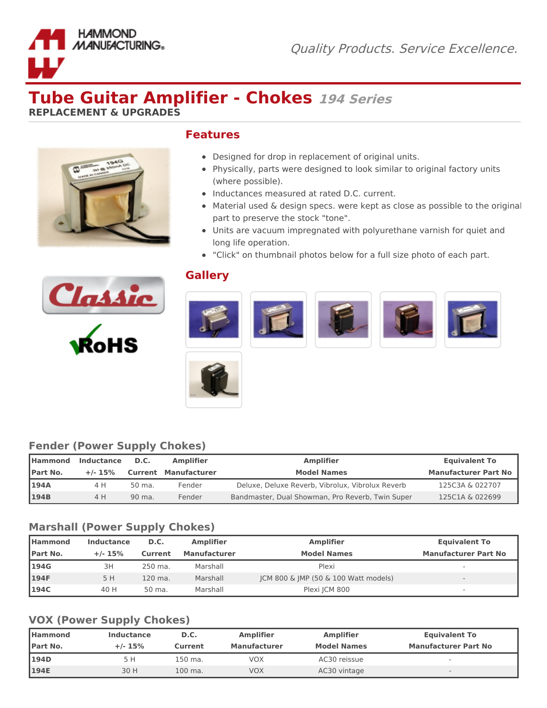

# **Tube Guitar Amplifier - Chokes <sup>194</sup> Series**

**REPLACEMENT & UPGRADES**



#### **Features**

- Designed for drop in replacement of original units.
- Physically, parts were designed to look similar to original factory units (where possible).
- Inductances measured at rated D.C. current.
- Material used & design specs. were kept as close as possible to the original part to preserve the stock "tone".
- Units are vacuum impregnated with polyurethane varnish for quiet and long life operation.
- "Click" on thumbnail photos below for a full size photo of each part.



## **Gallery**





## **Fender (Power Supply Chokes)**

| <b>I</b> Hammond | <b>Inductance</b><br><b>Amplifier</b><br>D.C. |        |                             | <b>Amplifier</b>                                 | <b>Equivalent To</b>        |
|------------------|-----------------------------------------------|--------|-----------------------------|--------------------------------------------------|-----------------------------|
| Part No.         | $+/- 15%$                                     |        | <b>Current Manufacturer</b> | <b>Model Names</b>                               | <b>Manufacturer Part No</b> |
| <b>194A</b>      | 4 H                                           | 50 ma. | Fender                      | Deluxe, Deluxe Reverb, Vibrolux, Vibrolux Reverb | 125C3A & 022707             |
| <b>194B</b>      | 4 H                                           | 90 ma. | Fender                      | Bandmaster, Dual Showman, Pro Reverb, Twin Super | 125C1A & 022699             |

## **Marshall (Power Supply Chokes)**

| l Hammond        | Inductance | D.C.    | <b>Amplifier</b>    | <b>Amplifier</b>                     | <b>Equivalent To</b>        |
|------------------|------------|---------|---------------------|--------------------------------------|-----------------------------|
| <b>IPart No.</b> | $+/- 15%$  | Current | <b>Manufacturer</b> | <b>Model Names</b>                   | <b>Manufacturer Part No</b> |
| 194G             | 3H         | 250 ma. | Marshall            | Plexi                                | $\overline{\phantom{a}}$    |
| 194F             | 5 H        | 120 ma. | Marshall            | JCM 800 & JMP (50 & 100 Watt models) | $\overline{\phantom{a}}$    |
| 194C             | 40 H       | 50 ma.  | Marshall            | Plexi JCM 800                        | $\overline{\phantom{a}}$    |

#### **VOX (Power Supply Chokes)**

| <b>I</b> Hammond | Inductance | D.C.    | <b>Amplifier</b>    | <b>Amplifier</b>   | <b>Equivalent To</b>        |
|------------------|------------|---------|---------------------|--------------------|-----------------------------|
| <b>IPart No.</b> | $+/- 15%$  | Current | <b>Manufacturer</b> | <b>Model Names</b> | <b>Manufacturer Part No</b> |
| <b>194D</b>      | 5 H        | 150 ma. | VOX                 | AC30 reissue       |                             |
| 194E             | 30 H       | 100 ma. | VOX                 | AC30 vintage       | $\qquad \qquad$             |